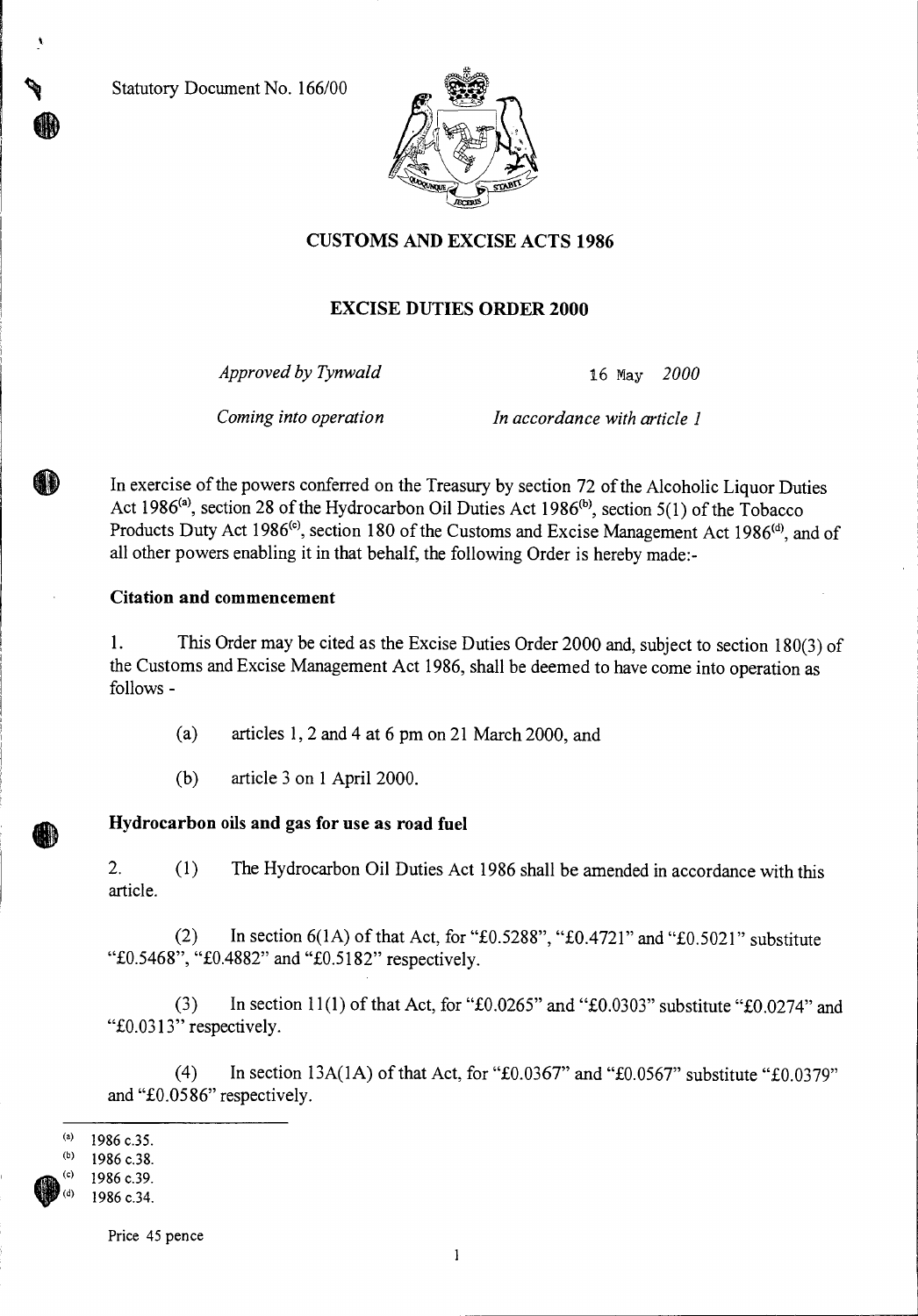**Statutory Document No. 166/00** 



### **CUSTOMS AND EXCISE ACTS 1986**

### **EXCISE DUTIES ORDER 2000**

*Approved by Tynwald* 16 May *2000* 

*Coming into operation In accordance with article 1* 

In exercise of the powers conferred on the Treasury by section 72 of the Alcoholic Liquor Duties Act 1986<sup>(a)</sup>, section 28 of the Hydrocarbon Oil Duties Act 1986<sup>(b)</sup>, section 5(1) of the Tobacco Products Duty Act 1986<sup>(c)</sup>, section 180 of the Customs and Excise Management Act 1986<sup>(d)</sup>, and of all other powers enabling it in that behalf, the following Order is hereby made:-

#### **Citation and commencement**

1. This Order may be cited as the Excise Duties Order 2000 and, subject to section 180(3) of the Customs and Excise Management Act 1986, shall be deemed to have come into operation as follows -

(a) articles 1, 2 and 4 at 6 pm on 21 March 2000, and

(b) article 3 on 1 April 2000.

# **Hydrocarbon oils and gas for use as road fuel**

2. (1) The Hydrocarbon Oil Duties Act 1986 shall be amended in accordance with this article.

(2) In section  $6(1A)$  of that Act, for "£0.5288", "£0.4721" and "£0.5021" substitute "£0.5468", "£0.4882" and "£0.5182" respectively.

(3) In section 11(1) of that Act, for " $\pounds 0.0265$ " and " $\pounds 0.0303$ " substitute " $\pounds 0.0274$ " and " $£0.0313"$ " respectively.

(4) In section 13A(1A) of that Act, for " $\text{\pounds}0.0367$ " and " $\text{\pounds}0.0567$ " substitute " $\text{\pounds}0.0379$ " and "£0.0586" respectively.

 $(a)$ 1986 c.35.

 $(b)$ 1986 c.38.

<sup>1986</sup> c.39.

<sup>1986</sup> c.34.

Price 45 pence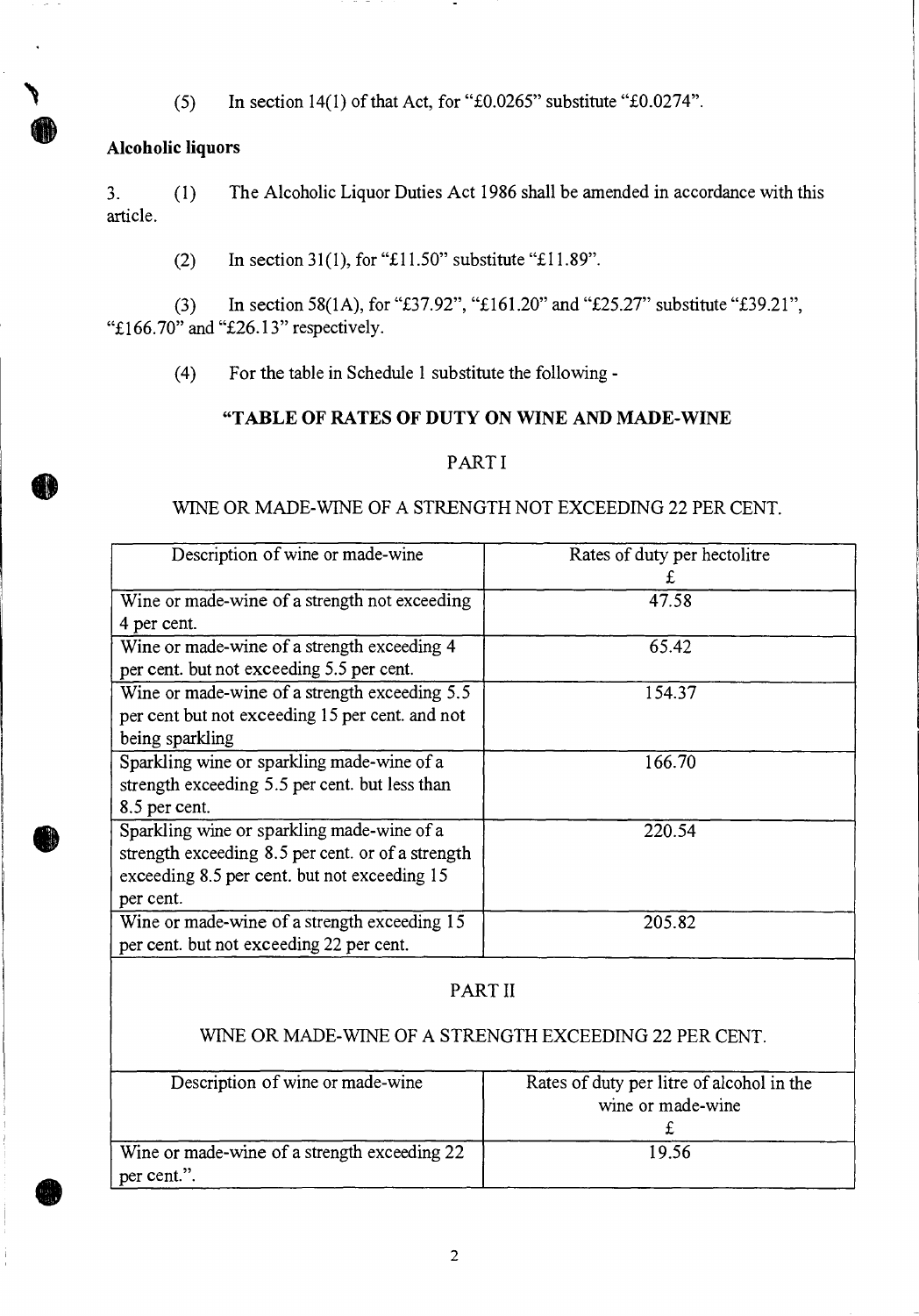(5) In section 14(1) of that Act, for " $\pounds 0.0265$ " substitute " $\pounds 0.0274$ ".

# **Alcoholic liquors**

3. (1) The Alcoholic Liquor Duties Act 1986 shall be amended in accordance with this article.

(2) In section 31(1), for "£11.50" substitute "£11.89".

(3) In section 58(1A), for "£37.92", "£161.20" and "£25.27" substitute "£39.21", "£166.70" and "£26.13" respectively.

(4) For the table in Schedule 1 substitute the following **-** 

# **"TABLE OF RATES OF DUTY ON WINE AND MADE-WINE**

### PART I

### WINE OR MADE-WINE OF A STRENGTH NOT EXCEEDING 22 PER CENT.

| Description of wine or made-wine                  | Rates of duty per hectolitre |
|---------------------------------------------------|------------------------------|
| Wine or made-wine of a strength not exceeding     | 47.58                        |
| 4 per cent.                                       |                              |
| Wine or made-wine of a strength exceeding 4       | 65.42                        |
| per cent. but not exceeding 5.5 per cent.         |                              |
| Wine or made-wine of a strength exceeding 5.5     | 154.37                       |
| per cent but not exceeding 15 per cent. and not   |                              |
| being sparkling                                   |                              |
| Sparkling wine or sparkling made-wine of a        | 166.70                       |
| strength exceeding 5.5 per cent. but less than    |                              |
| 8.5 per cent.                                     |                              |
| Sparkling wine or sparkling made-wine of a        | 220.54                       |
| strength exceeding 8.5 per cent. or of a strength |                              |
| exceeding 8.5 per cent. but not exceeding 15      |                              |
| per cent.                                         |                              |
| Wine or made-wine of a strength exceeding 15      | 205.82                       |
| per cent. but not exceeding 22 per cent.          |                              |

# PART II

# WINE OR MADE-WINE OF A STRENGTH EXCEEDING 22 PER CENT.

| Description of wine or made-wine                            | Rates of duty per litre of alcohol in the<br>wine or made-wine |
|-------------------------------------------------------------|----------------------------------------------------------------|
| Wine or made-wine of a strength exceeding 22<br>per cent.". | 19.56                                                          |